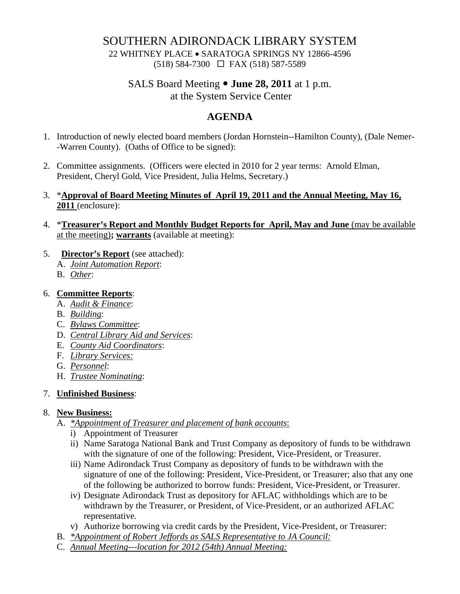## SOUTHERN ADIRONDACK LIBRARY SYSTEM

22 WHITNEY PLACE • SARATOGA SPRINGS NY 12866-4596 (518) 584-7300 FAX (518) 587-5589

## SALS Board Meeting • **June 28, 2011** at 1 p.m. at the System Service Center

# **AGENDA**

- 1. Introduction of newly elected board members (Jordan Hornstein--Hamilton County), (Dale Nemer- -Warren County). (Oaths of Office to be signed):
- 2. Committee assignments. (Officers were elected in 2010 for 2 year terms: Arnold Elman, President, Cheryl Gold, Vice President, Julia Helms, Secretary.)
- 3. \***Approval of Board Meeting Minutes of April 19, 2011 and the Annual Meeting, May 16, 2011** (enclosure):
- 4. \***Treasurer's Report and Monthly Budget Reports for April, May and June** (may be available at the meeting)**; warrants** (available at meeting):
- 5. **Director's Report** (see attached):
	- A. *Joint Automation Report*:
	- B. *Other*:

#### 6. **Committee Reports**:

- A. *Audit & Finance*:
- B. *Building*:
- C. *Bylaws Committee*:
- D. *Central Library Aid and Services*:
- E. *County Aid Coordinators*:
- F. *Library Services:*
- G. *Personnel*:
- H. *Trustee Nominating*:

#### 7. **Unfinished Business**:

#### 8. **New Business:**

- A. *\*Appointment of Treasurer and placement of bank accounts*:
	- i) Appointment of Treasurer
	- ii) Name Saratoga National Bank and Trust Company as depository of funds to be withdrawn with the signature of one of the following: President, Vice-President, or Treasurer.
	- iii) Name Adirondack Trust Company as depository of funds to be withdrawn with the signature of one of the following: President, Vice-President, or Treasurer; also that any one of the following be authorized to borrow funds: President, Vice-President, or Treasurer.
	- iv) Designate Adirondack Trust as depository for AFLAC withholdings which are to be withdrawn by the Treasurer, or President, of Vice-President, or an authorized AFLAC representative.
	- v) Authorize borrowing via credit cards by the President, Vice-President, or Treasurer:
- B. *\*Appointment of Robert Jeffords as SALS Representative to JA Council:*
- C. *Annual Meeting---location for 2012 (54th) Annual Meeting:*